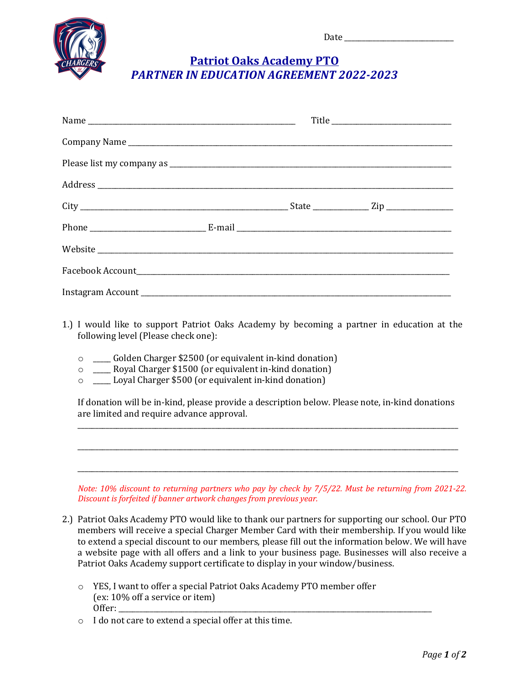

## **Patriot Oaks Academy PTO** *PARTNER IN EDUCATION AGREEMENT 2022-2023*

- 1.) I would like to support Patriot Oaks Academy by becoming a partner in education at the following level (Please check one):
	- $\circ$  \_\_\_\_\_ Golden Charger \$2500 (or equivalent in-kind donation)
	- o \_\_\_\_ Royal Charger \$1500 (or equivalent in-kind donation)
	- $\circ$  \_\_\_\_ Loyal Charger \$500 (or equivalent in-kind donation)

If donation will be in-kind, please provide a description below. Please note, in-kind donations are limited and require advance approval. \_\_\_\_\_\_\_\_\_\_\_\_\_\_\_\_\_\_\_\_\_\_\_\_\_\_\_\_\_\_\_\_\_\_\_\_\_\_\_\_\_\_\_\_\_\_\_\_\_\_\_\_\_\_\_\_\_\_\_\_\_\_\_\_\_\_\_\_\_\_\_\_\_\_\_\_\_\_\_\_\_\_\_\_\_\_\_\_\_\_\_\_\_\_\_\_\_\_\_\_\_\_\_\_\_\_\_\_

\_\_\_\_\_\_\_\_\_\_\_\_\_\_\_\_\_\_\_\_\_\_\_\_\_\_\_\_\_\_\_\_\_\_\_\_\_\_\_\_\_\_\_\_\_\_\_\_\_\_\_\_\_\_\_\_\_\_\_\_\_\_\_\_\_\_\_\_\_\_\_\_\_\_\_\_\_\_\_\_\_\_\_\_\_\_\_\_\_\_\_\_\_\_\_\_\_\_\_\_\_\_\_\_\_\_\_\_

\_\_\_\_\_\_\_\_\_\_\_\_\_\_\_\_\_\_\_\_\_\_\_\_\_\_\_\_\_\_\_\_\_\_\_\_\_\_\_\_\_\_\_\_\_\_\_\_\_\_\_\_\_\_\_\_\_\_\_\_\_\_\_\_\_\_\_\_\_\_\_\_\_\_\_\_\_\_\_\_\_\_\_\_\_\_\_\_\_\_\_\_\_\_\_\_\_\_\_\_\_\_\_\_\_\_\_\_

*Note:* 10% discount to returning partners who pay by check by 7/5/22. Must be returning from 2021-22. **Discount is forfeited if banner artwork changes from previous year.** 

- 2.) Patriot Oaks Academy PTO would like to thank our partners for supporting our school. Our PTO members will receive a special Charger Member Card with their membership. If you would like to extend a special discount to our members, please fill out the information below. We will have a website page with all offers and a link to your business page. Businesses will also receive a Patriot Oaks Academy support certificate to display in your window/business.
	- o YES, I want to offer a special Patriot Oaks Academy PTO member offer (ex: 10% off a service or item) Offer:
	- $\circ$  I do not care to extend a special offer at this time.